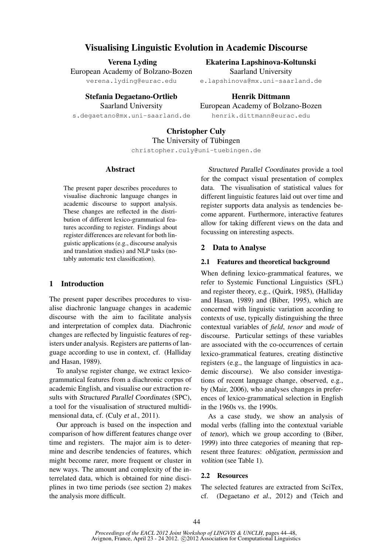# Visualising Linguistic Evolution in Academic Discourse

Verena Lyding

European Academy of Bolzano-Bozen verena.lyding@eurac.edu

> Stefania Degaetano-Ortlieb Saarland University

s.degaetano@mx.uni-saarland.de

Ekaterina Lapshinova-Koltunski Saarland University e.lapshinova@mx.uni-saarland.de

Henrik Dittmann European Academy of Bolzano-Bozen henrik.dittmann@eurac.edu

# Christopher Culy The University of Tübingen christopher.culy@uni-tuebingen.de

### Abstract

The present paper describes procedures to visualise diachronic language changes in academic discourse to support analysis. These changes are reflected in the distribution of different lexico-grammatical features according to register. Findings about register differences are relevant for both linguistic applications (e.g., discourse analysis and translation studies) and NLP tasks (notably automatic text classification).

### 1 Introduction

The present paper describes procedures to visualise diachronic language changes in academic discourse with the aim to facilitate analysis and interpretation of complex data. Diachronic changes are reflected by linguistic features of registers under analysis. Registers are patterns of language according to use in context, cf. (Halliday and Hasan, 1989).

To analyse register change, we extract lexicogrammatical features from a diachronic corpus of academic English, and visualise our extraction results with Structured Parallel Coordinates (SPC), a tool for the visualisation of structured multidimensional data, cf. (Culy et al., 2011).

Our approach is based on the inspection and comparison of how different features change over time and registers. The major aim is to determine and describe tendencies of features, which might become rarer, more frequent or cluster in new ways. The amount and complexity of the interrelated data, which is obtained for nine disciplines in two time periods (see section 2) makes the analysis more difficult.

Structured Parallel Coordinates provide a tool for the compact visual presentation of complex data. The visualisation of statistical values for different linguistic features laid out over time and register supports data analysis as tendencies become apparent. Furthermore, interactive features allow for taking different views on the data and focussing on interesting aspects.

### 2 Data to Analyse

#### 2.1 Features and theoretical background

When defining lexico-grammatical features, we refer to Systemic Functional Linguistics (SFL) and register theory, e.g., (Quirk, 1985), (Halliday and Hasan, 1989) and (Biber, 1995), which are concerned with linguistic variation according to contexts of use, typically distinguishing the three contextual variables of *field*, *tenor* and *mode* of discourse. Particular settings of these variables are associated with the co-occurrences of certain lexico-grammatical features, creating distinctive registers (e.g., the language of linguistics in academic discourse). We also consider investigations of recent language change, observed, e.g., by (Mair, 2006), who analyses changes in preferences of lexico-grammatical selection in English in the 1960s vs. the 1990s.

As a case study, we show an analysis of modal verbs (falling into the contextual variable of tenor), which we group according to (Biber, 1999) into three categories of meaning that represent three features: obligation, permission and volition (see Table 1).

### 2.2 Resources

The selected features are extracted from SciTex, cf. (Degaetano et al., 2012) and (Teich and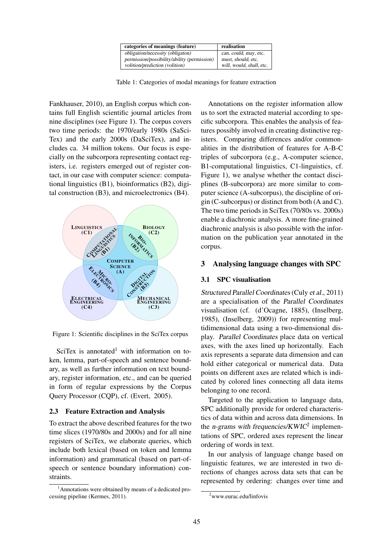| categories of meanings (feature)            | realisation              |
|---------------------------------------------|--------------------------|
| obligation/necessity (obligaton)            | can, could, may, etc.    |
| permission/possibility/ability (permission) | must, should, etc.       |
| volition/prediction (volition)              | will, would, shall, etc. |

Table 1: Categories of modal meanings for feature extraction

Fankhauser, 2010), an English corpus which contains full English scientific journal articles from nine disciplines (see Figure 1). The corpus covers two time periods: the 1970/early 1980s (SaSci-Tex) and the early 2000s (DaSciTex), and includes ca. 34 million tokens. Our focus is especially on the subcorpora representing contact registers, i.e. registers emerged out of register contact, in our case with computer science: computational linguistics (B1), bioinformatics (B2), digital construction (B3), and microelectronics (B4).



Figure 1: Scientific disciplines in the SciTex corpus

SciTex is annotated<sup>1</sup> with information on token, lemma, part-of-speech and sentence boundary, as well as further information on text boundary, register information, etc., and can be queried in form of regular expressions by the Corpus Query Processor (CQP), cf. (Evert, 2005).

#### 2.3 Feature Extraction and Analysis

To extract the above described features for the two time slices (1970/80s and 2000s) and for all nine registers of SciTex, we elaborate queries, which include both lexical (based on token and lemma information) and grammatical (based on part-ofspeech or sentence boundary information) constraints.

Annotations on the register information allow us to sort the extracted material according to specific subcorpora. This enables the analysis of features possibly involved in creating distinctive registers. Comparing differences and/or commonalities in the distribution of features for A-B-C triples of subcorpora (e.g., A-computer science, B1-computational linguistics, C1-linguistics, cf. Figure 1), we analyse whether the contact disciplines (B-subcorpora) are more similar to computer science (A-subcorpus), the discipline of origin (C-subcorpus) or distinct from both (A and C). The two time periods in SciTex (70/80s vs. 2000s) enable a diachronic analysis. A more fine-grained diachronic analysis is also possible with the information on the publication year annotated in the corpus.

### 3 Analysing language changes with SPC

#### 3.1 SPC visualisation

Structured Parallel Coordinates (Culy et al., 2011) are a specialisation of the Parallel Coordinates visualisation (cf. (d'Ocagne, 1885), (Inselberg, 1985), (Inselberg, 2009)) for representing multidimensional data using a two-dimensional display. Parallel Coordinates place data on vertical axes, with the axes lined up horizontally. Each axis represents a separate data dimension and can hold either categorical or numerical data. Data points on different axes are related which is indicated by colored lines connecting all data items belonging to one record.

Targeted to the application to language data, SPC additionally provide for ordered characteristics of data within and across data dimensions. In the *n*-grams with frequencies/ $KWIC<sup>2</sup>$  implementations of SPC, ordered axes represent the linear ordering of words in text.

In our analysis of language change based on linguistic features, we are interested in two directions of changes across data sets that can be represented by ordering: changes over time and

<sup>1</sup>Annotations were obtained by means of a dedicated processing pipeline (Kermes, 2011).

<sup>2</sup>www.eurac.edu/linfovis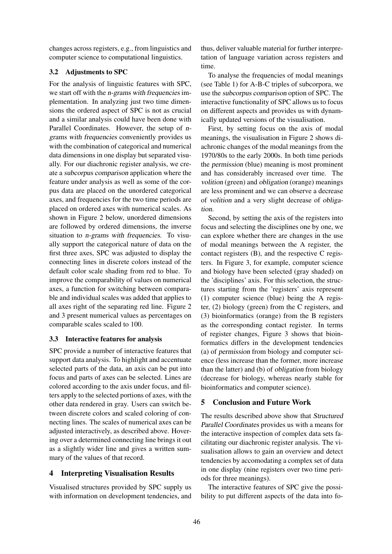changes across registers, e.g., from linguistics and computer science to computational linguistics.

## 3.2 Adjustments to SPC

For the analysis of linguistic features with SPC, we start off with the *n*-grams with frequencies implementation. In analyzing just two time dimensions the ordered aspect of SPC is not as crucial and a similar analysis could have been done with Parallel Coordinates. However, the setup of ngrams with frequencies conveniently provides us with the combination of categorical and numerical data dimensions in one display but separated visually. For our diachronic register analysis, we create a subcorpus comparison application where the feature under analysis as well as some of the corpus data are placed on the unordered categorical axes, and frequencies for the two time periods are placed on ordered axes with numerical scales. As shown in Figure 2 below, unordered dimensions are followed by ordered dimensions, the inverse situation to n-grams with frequencies. To visually support the categorical nature of data on the first three axes, SPC was adjusted to display the connecting lines in discrete colors instead of the default color scale shading from red to blue. To improve the comparability of values on numerical axes, a function for switching between comparable and individual scales was added that applies to all axes right of the separating red line. Figure 2 and 3 present numerical values as percentages on comparable scales scaled to 100.

## 3.3 Interactive features for analysis

SPC provide a number of interactive features that support data analysis. To highlight and accentuate selected parts of the data, an axis can be put into focus and parts of axes can be selected. Lines are colored according to the axis under focus, and filters apply to the selected portions of axes, with the other data rendered in gray. Users can switch between discrete colors and scaled coloring of connecting lines. The scales of numerical axes can be adjusted interactively, as described above. Hovering over a determined connecting line brings it out as a slightly wider line and gives a written summary of the values of that record.

## 4 Interpreting Visualisation Results

Visualised structures provided by SPC supply us with information on development tendencies, and thus, deliver valuable material for further interpretation of language variation across registers and time.

To analyse the frequencies of modal meanings (see Table 1) for A-B-C triples of subcorpora, we use the subcorpus comparison option of SPC. The interactive functionality of SPC allows us to focus on different aspects and provides us with dynamically updated versions of the visualisation.

First, by setting focus on the axis of modal meanings, the visualisation in Figure 2 shows diachronic changes of the modal meanings from the 1970/80s to the early 2000s. In both time periods the permission (blue) meaning is most prominent and has considerably increased over time. The volition (green) and obligation (orange) meanings are less prominent and we can observe a decrease of volition and a very slight decrease of obligation.

Second, by setting the axis of the registers into focus and selecting the disciplines one by one, we can explore whether there are changes in the use of modal meanings between the A register, the contact registers (B), and the respective C registers. In Figure 3, for example, computer science and biology have been selected (gray shaded) on the 'disciplines' axis. For this selection, the structures starting from the 'registers' axis represent (1) computer science (blue) being the A register, (2) biology (green) from the C registers, and (3) bioinformatics (orange) from the B registers as the corresponding contact register. In terms of register changes, Figure 3 shows that bioinformatics differs in the development tendencies (a) of permission from biology and computer science (less increase than the former, more increase than the latter) and (b) of obligation from biology (decrease for biology, whereas nearly stable for bioinformatics and computer science).

## 5 Conclusion and Future Work

The results described above show that Structured Parallel Coordinates provides us with a means for the interactive inspection of complex data sets facilitating our diachronic register analysis. The visualisation allows to gain an overview and detect tendencies by accomodating a complex set of data in one display (nine registers over two time periods for three meanings).

The interactive features of SPC give the possibility to put different aspects of the data into fo-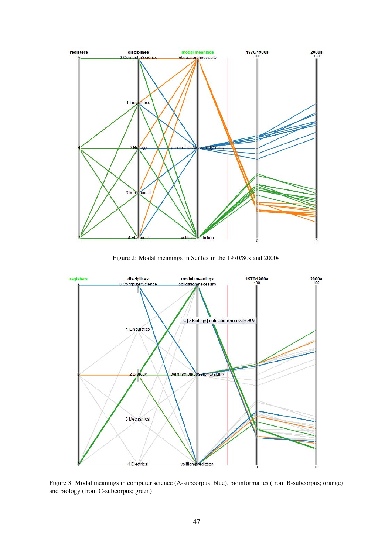

Figure 2: Modal meanings in SciTex in the 1970/80s and 2000s



Figure 3: Modal meanings in computer science (A-subcorpus; blue), bioinformatics (from B-subcorpus; orange) and biology (from C-subcorpus; green)